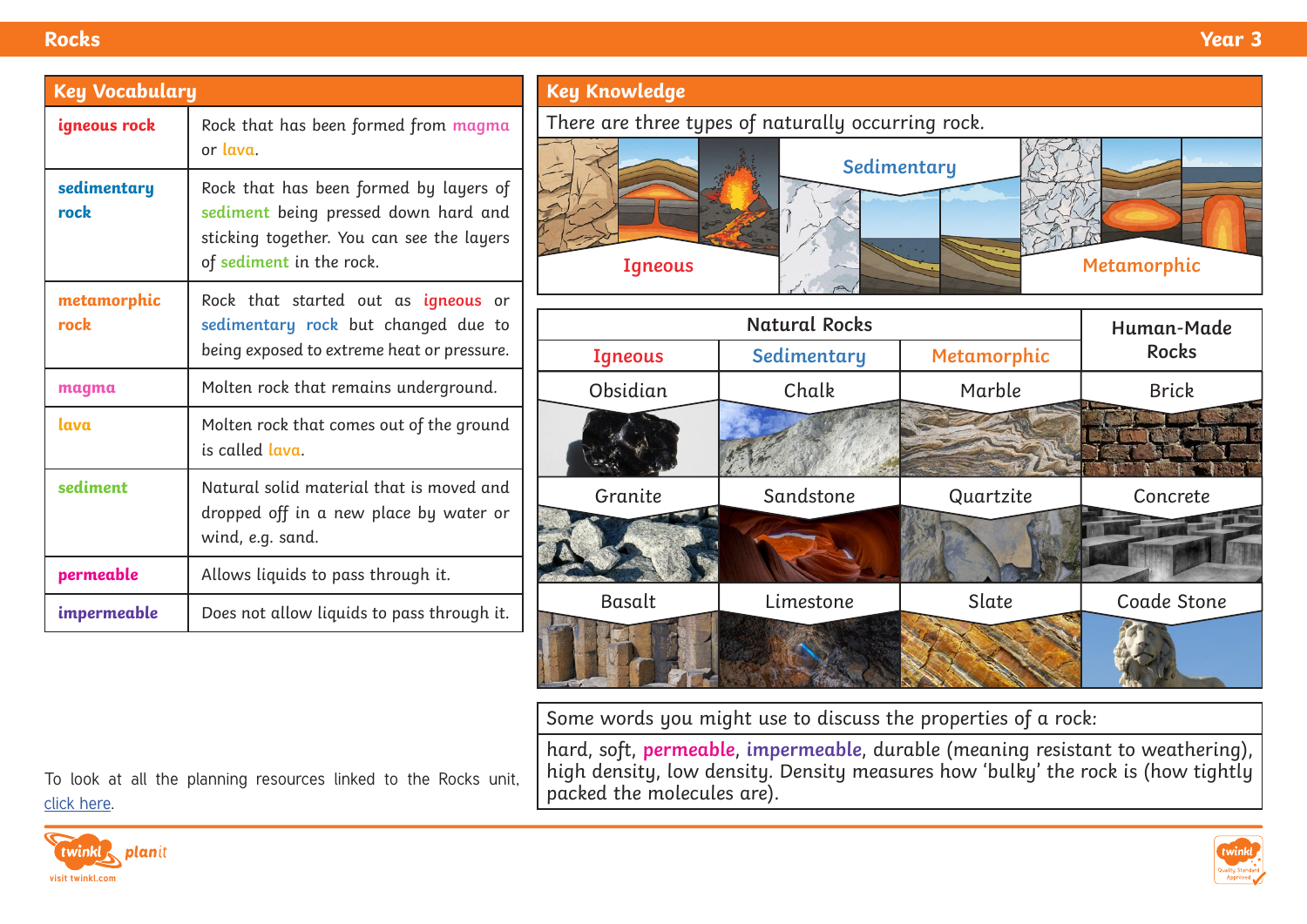| <b>Key Vocabulary</b> |                                                                                                                                                         |  |  |  |
|-----------------------|---------------------------------------------------------------------------------------------------------------------------------------------------------|--|--|--|
| igneous rock          | Rock that has been formed from magma<br>or lava.                                                                                                        |  |  |  |
| sedimentary<br>rock   | Rock that has been formed by layers of<br>sediment being pressed down hard and<br>sticking together. You can see the layers<br>of sediment in the rock. |  |  |  |
| metamorphic<br>rock   | Rock that started out as <i>igneous</i> or<br>sedimentary rock but changed due to<br>being exposed to extreme heat or pressure.                         |  |  |  |
| magma                 | Molten rock that remains underground.                                                                                                                   |  |  |  |
| lava                  | Molten rock that comes out of the ground<br>is called lava.                                                                                             |  |  |  |
| sediment              | Natural solid material that is moved and<br>dropped off in a new place by water or<br>wind, e.g. sand.                                                  |  |  |  |
| permeable             | Allows liquids to pass through it.                                                                                                                      |  |  |  |
| impermeable           | Does not allow liquids to pass through it.                                                                                                              |  |  |  |

To look at all the planning resources linked to the Rocks unit,

| <b>Key Knowledge</b>                               |             |             |              |  |  |  |  |
|----------------------------------------------------|-------------|-------------|--------------|--|--|--|--|
| There are three types of naturally occurring rock. |             |             |              |  |  |  |  |
|                                                    |             | Sedimentary |              |  |  |  |  |
| <b>Igneous</b>                                     |             |             | Metamorphic  |  |  |  |  |
| <b>Natural Rocks</b>                               |             |             |              |  |  |  |  |
|                                                    |             |             | Human-Made   |  |  |  |  |
| <b>Igneous</b>                                     | Sedimentary | Metamorphic | <b>Rocks</b> |  |  |  |  |
| Obsidian                                           | Chalk       | Marble      | <b>Brick</b> |  |  |  |  |
|                                                    |             |             |              |  |  |  |  |
| Granite                                            | Sandstone   | Quartzite   | Concrete     |  |  |  |  |
|                                                    |             |             |              |  |  |  |  |
| Basalt                                             | Limestone   | Slate       | Coade Stone  |  |  |  |  |
|                                                    |             |             |              |  |  |  |  |

Some words you might use to discuss the properties of a rock:

hard, soft, **permeable**, **impermeable**, durable (meaning resistant to weathering), high density, low density. Density measures how 'bulky' the rock is (how tightly packed the molecules are).

twinkl, planit **[visit twinkl.com](https://www.twinkl.co.uk/resources/planit-science-primary-teaching-resources/planit-science-primary-teaching-resources-y3/planit-science-primary-teaching-resources-y3-rocks)**

[click here.](https://www.twinkl.co.uk/resources/planit-science-primary-teaching-resources/planit-science-primary-teaching-resources-y3/planit-science-primary-teaching-resources-y3-rocks)